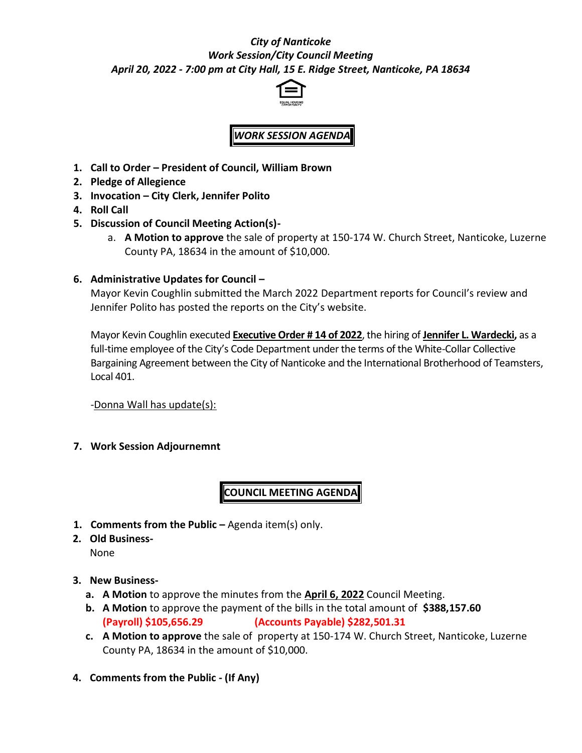## *City of Nanticoke Work Session/City Council Meeting April 20, 2022 - 7:00 pm at City Hall, 15 E. Ridge Street, Nanticoke, PA 18634*



# *WORK SESSION AGENDA*

- **1. Call to Order – President of Council, William Brown**
- **2. Pledge of Allegience**
- **3. Invocation – City Clerk, Jennifer Polito**
- **4. Roll Call**
- **5. Discussion of Council Meeting Action(s)**
	- a. **A Motion to approve** the sale of property at 150-174 W. Church Street, Nanticoke, Luzerne County PA, 18634 in the amount of \$10,000.
- **6. Administrative Updates for Council –**

Mayor Kevin Coughlin submitted the March 2022 Department reports for Council's review and Jennifer Polito has posted the reports on the City's website.

Mayor Kevin Coughlin executed **Executive Order # 14 of 2022**, the hiring of **Jennifer L. Wardecki,** as a full-time employee of the City's Code Department under the terms of the White-Collar Collective Bargaining Agreement between the City of Nanticoke and the International Brotherhood of Teamsters, Local 401.

-Donna Wall has update(s):

**7. Work Session Adjournemnt**

### **COUNCIL MEETING AGENDA**

- **1. Comments from the Public –** Agenda item(s) only.
- **2. Old Business-**None
- **3. New Business**
	- **a. A Motion** to approve the minutes from the **April 6, 2022** Council Meeting.
	- **b. A Motion** to approve the payment of the bills in the total amount of **\$388,157.60 (Payroll) \$105,656.29 (Accounts Payable) \$282,501.31**
	- **c. A Motion to approve** the sale of property at 150-174 W. Church Street, Nanticoke, Luzerne County PA, 18634 in the amount of \$10,000.
- **4. Comments from the Public - (If Any)**